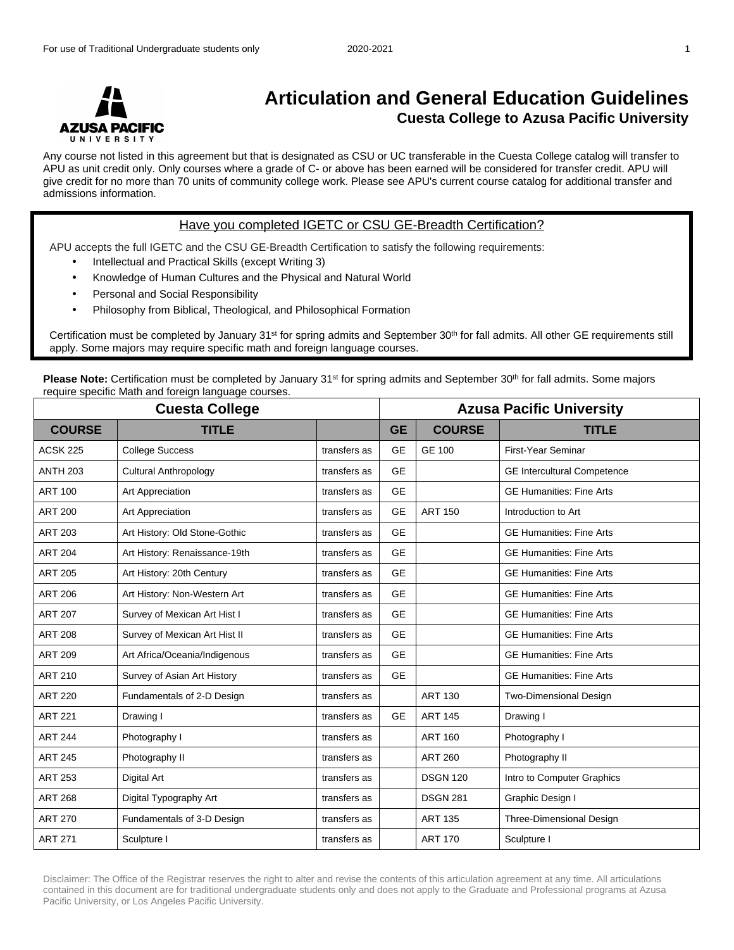

## **Articulation and General Education Guidelines Cuesta College to Azusa Pacific University**

Any course not listed in this agreement but that is designated as CSU or UC transferable in the Cuesta College catalog will transfer to APU as unit credit only. Only courses where a grade of C- or above has been earned will be considered for transfer credit. APU will give credit for no more than 70 units of community college work. Please see APU's current course catalog for additional transfer and admissions information.

## Have you completed IGETC or CSU GE-Breadth Certification?

APU accepts the full IGETC and the CSU GE-Breadth Certification to satisfy the following requirements:

- Intellectual and Practical Skills (except Writing 3)
- Knowledge of Human Cultures and the Physical and Natural World
- Personal and Social Responsibility
- Philosophy from Biblical, Theological, and Philosophical Formation

Certification must be completed by January 31st for spring admits and September 30th for fall admits. All other GE requirements still apply. Some majors may require specific math and foreign language courses.

**Please Note:** Certification must be completed by January 31<sup>st</sup> for spring admits and September 30<sup>th</sup> for fall admits. Some majors require specific Math and foreign language courses.

| <b>Cuesta College</b> |                               |              | <b>Azusa Pacific University</b> |                 |                                    |
|-----------------------|-------------------------------|--------------|---------------------------------|-----------------|------------------------------------|
| <b>COURSE</b>         | <b>TITLE</b>                  |              | <b>GE</b>                       | <b>COURSE</b>   | <b>TITLE</b>                       |
| <b>ACSK 225</b>       | <b>College Success</b>        | transfers as | <b>GE</b>                       | <b>GE 100</b>   | First-Year Seminar                 |
| <b>ANTH 203</b>       | <b>Cultural Anthropology</b>  | transfers as | <b>GE</b>                       |                 | <b>GE Intercultural Competence</b> |
| <b>ART 100</b>        | Art Appreciation              | transfers as | <b>GE</b>                       |                 | <b>GE Humanities: Fine Arts</b>    |
| <b>ART 200</b>        | Art Appreciation              | transfers as | <b>GE</b>                       | <b>ART 150</b>  | Introduction to Art                |
| <b>ART 203</b>        | Art History: Old Stone-Gothic | transfers as | <b>GE</b>                       |                 | <b>GE Humanities: Fine Arts</b>    |
| <b>ART 204</b>        | Art History: Renaissance-19th | transfers as | <b>GE</b>                       |                 | <b>GE Humanities: Fine Arts</b>    |
| <b>ART 205</b>        | Art History: 20th Century     | transfers as | <b>GE</b>                       |                 | <b>GE Humanities: Fine Arts</b>    |
| <b>ART 206</b>        | Art History: Non-Western Art  | transfers as | <b>GE</b>                       |                 | <b>GE Humanities: Fine Arts</b>    |
| <b>ART 207</b>        | Survey of Mexican Art Hist I  | transfers as | <b>GE</b>                       |                 | <b>GE Humanities: Fine Arts</b>    |
| <b>ART 208</b>        | Survey of Mexican Art Hist II | transfers as | <b>GE</b>                       |                 | <b>GE Humanities: Fine Arts</b>    |
| <b>ART 209</b>        | Art Africa/Oceania/Indigenous | transfers as | <b>GE</b>                       |                 | <b>GE Humanities: Fine Arts</b>    |
| <b>ART 210</b>        | Survey of Asian Art History   | transfers as | <b>GE</b>                       |                 | <b>GE Humanities: Fine Arts</b>    |
| <b>ART 220</b>        | Fundamentals of 2-D Design    | transfers as |                                 | <b>ART 130</b>  | <b>Two-Dimensional Design</b>      |
| <b>ART 221</b>        | Drawing I                     | transfers as | <b>GE</b>                       | <b>ART 145</b>  | Drawing I                          |
| <b>ART 244</b>        | Photography I                 | transfers as |                                 | <b>ART 160</b>  | Photography I                      |
| <b>ART 245</b>        | Photography II                | transfers as |                                 | <b>ART 260</b>  | Photography II                     |
| <b>ART 253</b>        | Digital Art                   | transfers as |                                 | <b>DSGN 120</b> | Intro to Computer Graphics         |
| <b>ART 268</b>        | Digital Typography Art        | transfers as |                                 | <b>DSGN 281</b> | Graphic Design I                   |
| <b>ART 270</b>        | Fundamentals of 3-D Design    | transfers as |                                 | <b>ART 135</b>  | Three-Dimensional Design           |
| <b>ART 271</b>        | Sculpture I                   | transfers as |                                 | <b>ART 170</b>  | Sculpture I                        |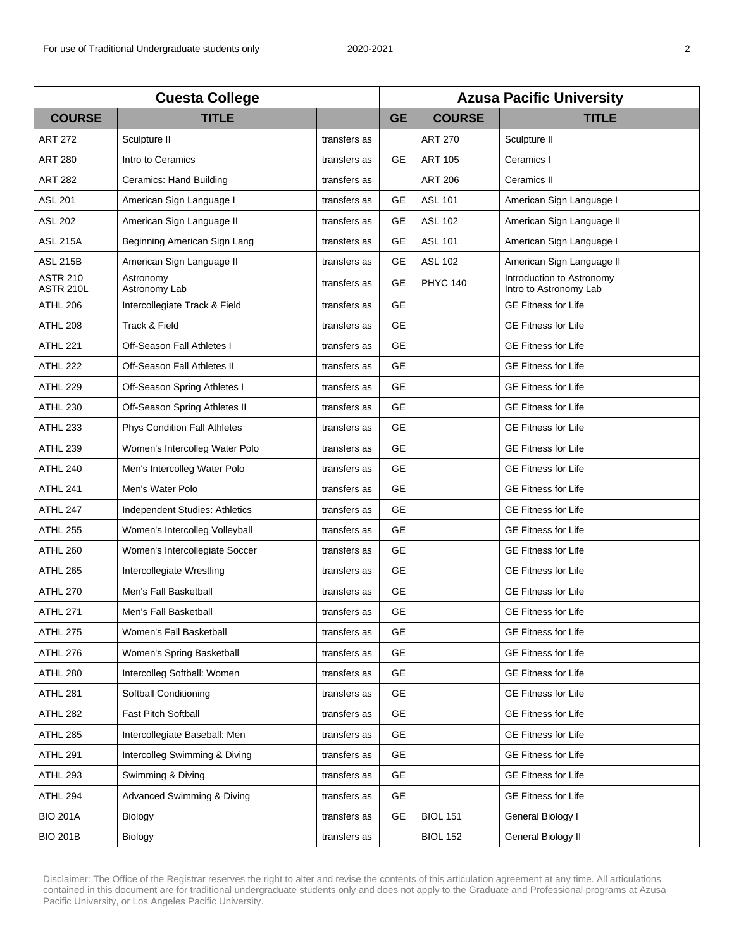| <b>Cuesta College</b>        |                                     |              | <b>Azusa Pacific University</b> |                 |                                                     |  |
|------------------------------|-------------------------------------|--------------|---------------------------------|-----------------|-----------------------------------------------------|--|
| <b>COURSE</b>                | <b>TITLE</b>                        |              | <b>GE</b>                       | <b>COURSE</b>   | <b>TITLE</b>                                        |  |
| <b>ART 272</b>               | Sculpture II                        | transfers as |                                 | <b>ART 270</b>  | Sculpture II                                        |  |
| <b>ART 280</b>               | Intro to Ceramics                   | transfers as | GE                              | <b>ART 105</b>  | Ceramics I                                          |  |
| <b>ART 282</b>               | Ceramics: Hand Building             | transfers as |                                 | <b>ART 206</b>  | Ceramics II                                         |  |
| <b>ASL 201</b>               | American Sign Language I            | transfers as | <b>GE</b>                       | <b>ASL 101</b>  | American Sign Language I                            |  |
| <b>ASL 202</b>               | American Sign Language II           | transfers as | <b>GE</b>                       | <b>ASL 102</b>  | American Sign Language II                           |  |
| <b>ASL 215A</b>              | Beginning American Sign Lang        | transfers as | <b>GE</b>                       | <b>ASL 101</b>  | American Sign Language I                            |  |
| <b>ASL 215B</b>              | American Sign Language II           | transfers as | <b>GE</b>                       | <b>ASL 102</b>  | American Sign Language II                           |  |
| <b>ASTR 210</b><br>ASTR 210L | Astronomy<br>Astronomy Lab          | transfers as | <b>GE</b>                       | <b>PHYC 140</b> | Introduction to Astronomy<br>Intro to Astronomy Lab |  |
| <b>ATHL 206</b>              | Intercollegiate Track & Field       | transfers as | <b>GE</b>                       |                 | <b>GE Fitness for Life</b>                          |  |
| <b>ATHL 208</b>              | Track & Field                       | transfers as | <b>GE</b>                       |                 | <b>GE Fitness for Life</b>                          |  |
| <b>ATHL 221</b>              | Off-Season Fall Athletes I          | transfers as | <b>GE</b>                       |                 | <b>GE Fitness for Life</b>                          |  |
| <b>ATHL 222</b>              | Off-Season Fall Athletes II         | transfers as | <b>GE</b>                       |                 | <b>GE Fitness for Life</b>                          |  |
| <b>ATHL 229</b>              | Off-Season Spring Athletes I        | transfers as | <b>GE</b>                       |                 | <b>GE Fitness for Life</b>                          |  |
| <b>ATHL 230</b>              | Off-Season Spring Athletes II       | transfers as | <b>GE</b>                       |                 | <b>GE Fitness for Life</b>                          |  |
| <b>ATHL 233</b>              | <b>Phys Condition Fall Athletes</b> | transfers as | <b>GE</b>                       |                 | <b>GE Fitness for Life</b>                          |  |
| <b>ATHL 239</b>              | Women's Intercolleg Water Polo      | transfers as | <b>GE</b>                       |                 | <b>GE Fitness for Life</b>                          |  |
| <b>ATHL 240</b>              | Men's Intercolleg Water Polo        | transfers as | <b>GE</b>                       |                 | <b>GE Fitness for Life</b>                          |  |
| <b>ATHL 241</b>              | Men's Water Polo                    | transfers as | <b>GE</b>                       |                 | <b>GE Fitness for Life</b>                          |  |
| ATHL 247                     | Independent Studies: Athletics      | transfers as | <b>GE</b>                       |                 | <b>GE Fitness for Life</b>                          |  |
| <b>ATHL 255</b>              | Women's Intercolleg Volleyball      | transfers as | <b>GE</b>                       |                 | <b>GE Fitness for Life</b>                          |  |
| <b>ATHL 260</b>              | Women's Intercollegiate Soccer      | transfers as | <b>GE</b>                       |                 | <b>GE Fitness for Life</b>                          |  |
| <b>ATHL 265</b>              | Intercollegiate Wrestling           | transfers as | <b>GE</b>                       |                 | <b>GE Fitness for Life</b>                          |  |
| <b>ATHL 270</b>              | Men's Fall Basketball               | transfers as | <b>GE</b>                       |                 | <b>GE Fitness for Life</b>                          |  |
| <b>ATHL 271</b>              | Men's Fall Basketball               | transfers as | <b>GE</b>                       |                 | <b>GE Fitness for Life</b>                          |  |
| <b>ATHL 275</b>              | Women's Fall Basketball             | transfers as | <b>GE</b>                       |                 | <b>GE Fitness for Life</b>                          |  |
| <b>ATHL 276</b>              | Women's Spring Basketball           | transfers as | <b>GE</b>                       |                 | <b>GE Fitness for Life</b>                          |  |
| <b>ATHL 280</b>              | Intercolleg Softball: Women         | transfers as | <b>GE</b>                       |                 | <b>GE Fitness for Life</b>                          |  |
| <b>ATHL 281</b>              | Softball Conditioning               | transfers as | <b>GE</b>                       |                 | <b>GE Fitness for Life</b>                          |  |
| <b>ATHL 282</b>              | Fast Pitch Softball                 | transfers as | <b>GE</b>                       |                 | <b>GE Fitness for Life</b>                          |  |
| <b>ATHL 285</b>              | Intercollegiate Baseball: Men       | transfers as | <b>GE</b>                       |                 | <b>GE Fitness for Life</b>                          |  |
| <b>ATHL 291</b>              | Intercolleg Swimming & Diving       | transfers as | <b>GE</b>                       |                 | <b>GE Fitness for Life</b>                          |  |
| <b>ATHL 293</b>              | Swimming & Diving                   | transfers as | <b>GE</b>                       |                 | <b>GE Fitness for Life</b>                          |  |
| ATHL 294                     | Advanced Swimming & Diving          | transfers as | GE                              |                 | <b>GE Fitness for Life</b>                          |  |
| <b>BIO 201A</b>              | Biology                             | transfers as | GE                              | <b>BIOL 151</b> | General Biology I                                   |  |
| <b>BIO 201B</b>              | Biology                             | transfers as |                                 | <b>BIOL 152</b> | General Biology II                                  |  |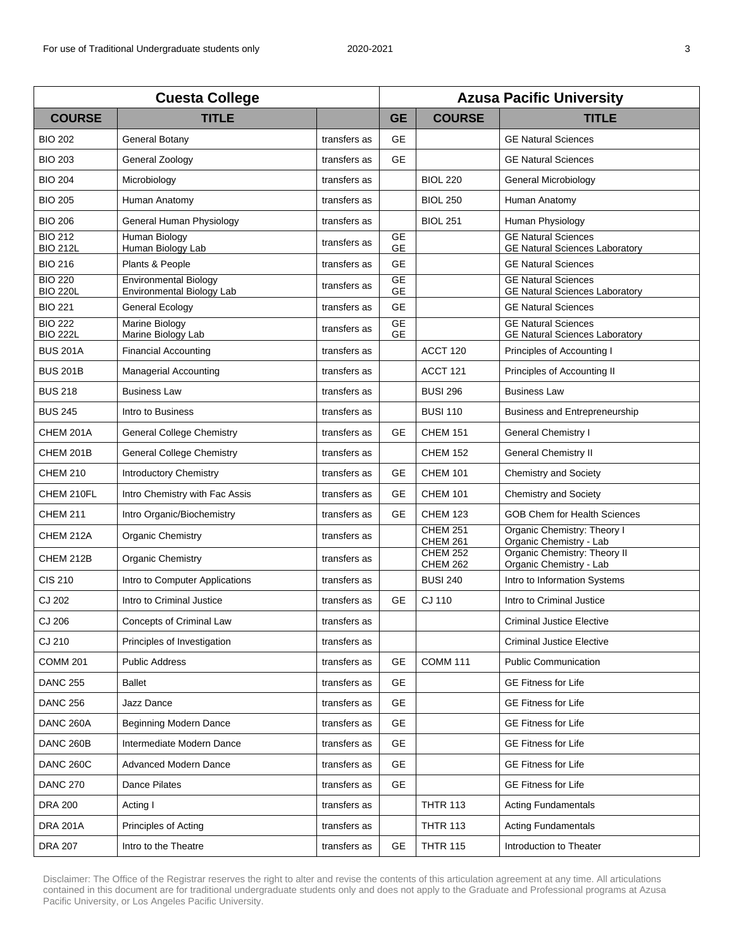| <b>Cuesta College</b>             |                                                           |              | <b>Azusa Pacific University</b> |                                    |                                                                     |  |
|-----------------------------------|-----------------------------------------------------------|--------------|---------------------------------|------------------------------------|---------------------------------------------------------------------|--|
| <b>COURSE</b>                     | <b>TITLE</b>                                              |              | <b>GE</b>                       | <b>COURSE</b>                      | <b>TITLE</b>                                                        |  |
| <b>BIO 202</b>                    | General Botany                                            | transfers as | <b>GE</b>                       |                                    | <b>GE Natural Sciences</b>                                          |  |
| <b>BIO 203</b>                    | General Zoology                                           | transfers as | <b>GE</b>                       |                                    | <b>GE Natural Sciences</b>                                          |  |
| <b>BIO 204</b>                    | Microbiology                                              | transfers as |                                 | <b>BIOL 220</b>                    | General Microbiology                                                |  |
| <b>BIO 205</b>                    | Human Anatomy                                             | transfers as |                                 | <b>BIOL 250</b>                    | Human Anatomy                                                       |  |
| <b>BIO 206</b>                    | General Human Physiology                                  | transfers as |                                 | <b>BIOL 251</b>                    | Human Physiology                                                    |  |
| <b>BIO 212</b><br><b>BIO 212L</b> | Human Biology<br>Human Biology Lab                        | transfers as | <b>GE</b><br><b>GE</b>          |                                    | <b>GE Natural Sciences</b><br><b>GE Natural Sciences Laboratory</b> |  |
| <b>BIO 216</b>                    | Plants & People                                           | transfers as | <b>GE</b>                       |                                    | <b>GE Natural Sciences</b>                                          |  |
| <b>BIO 220</b><br><b>BIO 220L</b> | <b>Environmental Biology</b><br>Environmental Biology Lab | transfers as | <b>GE</b><br><b>GE</b>          |                                    | <b>GE Natural Sciences</b><br><b>GE Natural Sciences Laboratory</b> |  |
| <b>BIO 221</b>                    | <b>General Ecology</b>                                    | transfers as | GE                              |                                    | <b>GE Natural Sciences</b>                                          |  |
| <b>BIO 222</b><br><b>BIO 222L</b> | Marine Biology<br>Marine Biology Lab                      | transfers as | <b>GE</b><br><b>GE</b>          |                                    | <b>GE Natural Sciences</b><br><b>GE Natural Sciences Laboratory</b> |  |
| <b>BUS 201A</b>                   | <b>Financial Accounting</b>                               | transfers as |                                 | ACCT <sub>120</sub>                | Principles of Accounting I                                          |  |
| <b>BUS 201B</b>                   | <b>Managerial Accounting</b>                              | transfers as |                                 | ACCT <sub>121</sub>                | Principles of Accounting II                                         |  |
| <b>BUS 218</b>                    | <b>Business Law</b>                                       | transfers as |                                 | <b>BUSI 296</b>                    | <b>Business Law</b>                                                 |  |
| <b>BUS 245</b>                    | Intro to Business                                         | transfers as |                                 | <b>BUSI 110</b>                    | <b>Business and Entrepreneurship</b>                                |  |
| CHEM 201A                         | <b>General College Chemistry</b>                          | transfers as | <b>GE</b>                       | <b>CHEM 151</b>                    | <b>General Chemistry I</b>                                          |  |
| CHEM 201B                         | <b>General College Chemistry</b>                          | transfers as |                                 | <b>CHEM 152</b>                    | <b>General Chemistry II</b>                                         |  |
| <b>CHEM 210</b>                   | Introductory Chemistry                                    | transfers as | <b>GE</b>                       | <b>CHEM 101</b>                    | <b>Chemistry and Society</b>                                        |  |
| CHEM 210FL                        | Intro Chemistry with Fac Assis                            | transfers as | GE                              | <b>CHEM 101</b>                    | <b>Chemistry and Society</b>                                        |  |
| <b>CHEM 211</b>                   | Intro Organic/Biochemistry                                | transfers as | <b>GE</b>                       | <b>CHEM 123</b>                    | <b>GOB Chem for Health Sciences</b>                                 |  |
| CHEM 212A                         | Organic Chemistry                                         | transfers as |                                 | <b>CHEM 251</b><br><b>CHEM 261</b> | Organic Chemistry: Theory I<br>Organic Chemistry - Lab              |  |
| CHEM 212B                         | <b>Organic Chemistry</b>                                  | transfers as |                                 | <b>CHEM 252</b><br><b>CHEM 262</b> | Organic Chemistry: Theory II<br>Organic Chemistry - Lab             |  |
| <b>CIS 210</b>                    | Intro to Computer Applications                            | transfers as |                                 | <b>BUSI 240</b>                    | Intro to Information Systems                                        |  |
| CJ 202                            | Intro to Criminal Justice                                 | transfers as | <b>GE</b>                       | CJ 110                             | Intro to Criminal Justice                                           |  |
| CJ 206                            | Concepts of Criminal Law                                  | transfers as |                                 |                                    | <b>Criminal Justice Elective</b>                                    |  |
| CJ 210                            | Principles of Investigation                               | transfers as |                                 |                                    | <b>Criminal Justice Elective</b>                                    |  |
| <b>COMM 201</b>                   | <b>Public Address</b>                                     | transfers as | <b>GE</b>                       | <b>COMM 111</b>                    | <b>Public Communication</b>                                         |  |
| <b>DANC 255</b>                   | <b>Ballet</b>                                             | transfers as | <b>GE</b>                       |                                    | <b>GE Fitness for Life</b>                                          |  |
| <b>DANC 256</b>                   | Jazz Dance                                                | transfers as | GE                              |                                    | <b>GE Fitness for Life</b>                                          |  |
| DANC 260A                         | <b>Beginning Modern Dance</b>                             | transfers as | <b>GE</b>                       |                                    | <b>GE Fitness for Life</b>                                          |  |
| DANC 260B                         | Intermediate Modern Dance                                 | transfers as | <b>GE</b>                       |                                    | <b>GE Fitness for Life</b>                                          |  |
| <b>DANC 260C</b>                  | Advanced Modern Dance                                     | transfers as | <b>GE</b>                       |                                    | <b>GE Fitness for Life</b>                                          |  |
| <b>DANC 270</b>                   | Dance Pilates                                             | transfers as | <b>GE</b>                       |                                    | <b>GE Fitness for Life</b>                                          |  |
| <b>DRA 200</b>                    | Acting I                                                  | transfers as |                                 | <b>THTR 113</b>                    | <b>Acting Fundamentals</b>                                          |  |
| <b>DRA 201A</b>                   | Principles of Acting                                      | transfers as |                                 | <b>THTR 113</b>                    | <b>Acting Fundamentals</b>                                          |  |
| <b>DRA 207</b>                    | Intro to the Theatre                                      | transfers as | GE                              | <b>THTR 115</b>                    | Introduction to Theater                                             |  |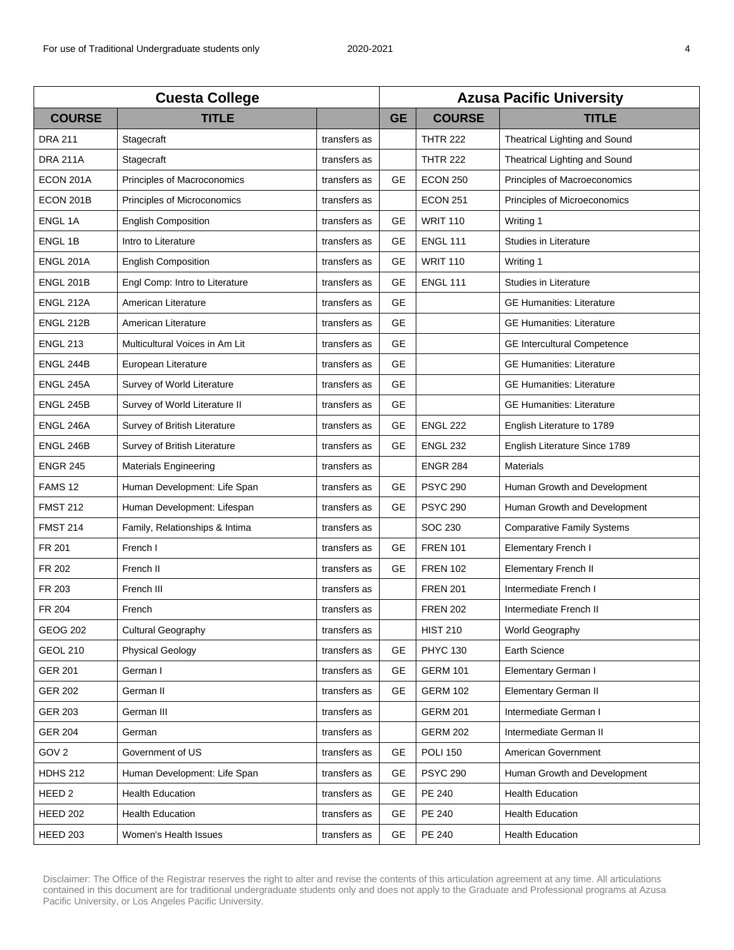| <b>Cuesta College</b> |                                |              | <b>Azusa Pacific University</b> |                 |                                    |  |
|-----------------------|--------------------------------|--------------|---------------------------------|-----------------|------------------------------------|--|
| <b>COURSE</b>         | <b>TITLE</b>                   |              | <b>GE</b>                       | <b>COURSE</b>   | <b>TITLE</b>                       |  |
| <b>DRA 211</b>        | Stagecraft                     | transfers as |                                 | <b>THTR 222</b> | Theatrical Lighting and Sound      |  |
| <b>DRA 211A</b>       | Stagecraft                     | transfers as |                                 | <b>THTR 222</b> | Theatrical Lighting and Sound      |  |
| ECON 201A             | Principles of Macroconomics    | transfers as | <b>GE</b>                       | <b>ECON 250</b> | Principles of Macroeconomics       |  |
| ECON 201B             | Principles of Microconomics    | transfers as |                                 | <b>ECON 251</b> | Principles of Microeconomics       |  |
| <b>ENGL 1A</b>        | <b>English Composition</b>     | transfers as | <b>GE</b>                       | <b>WRIT 110</b> | Writing 1                          |  |
| <b>ENGL 1B</b>        | Intro to Literature            | transfers as | <b>GE</b>                       | <b>ENGL 111</b> | Studies in Literature              |  |
| <b>ENGL 201A</b>      | <b>English Composition</b>     | transfers as | <b>GE</b>                       | <b>WRIT 110</b> | Writing 1                          |  |
| ENGL 201B             | Engl Comp: Intro to Literature | transfers as | <b>GE</b>                       | <b>ENGL 111</b> | Studies in Literature              |  |
| ENGL 212A             | American Literature            | transfers as | <b>GE</b>                       |                 | <b>GE Humanities: Literature</b>   |  |
| ENGL 212B             | American Literature            | transfers as | <b>GE</b>                       |                 | <b>GE Humanities: Literature</b>   |  |
| <b>ENGL 213</b>       | Multicultural Voices in Am Lit | transfers as | <b>GE</b>                       |                 | <b>GE Intercultural Competence</b> |  |
| ENGL 244B             | European Literature            | transfers as | <b>GE</b>                       |                 | <b>GE Humanities: Literature</b>   |  |
| ENGL 245A             | Survey of World Literature     | transfers as | <b>GE</b>                       |                 | <b>GE Humanities: Literature</b>   |  |
| ENGL 245B             | Survey of World Literature II  | transfers as | <b>GE</b>                       |                 | <b>GE Humanities: Literature</b>   |  |
| ENGL 246A             | Survey of British Literature   | transfers as | <b>GE</b>                       | <b>ENGL 222</b> | English Literature to 1789         |  |
| ENGL 246B             | Survey of British Literature   | transfers as | <b>GE</b>                       | <b>ENGL 232</b> | English Literature Since 1789      |  |
| <b>ENGR 245</b>       | <b>Materials Engineering</b>   | transfers as |                                 | <b>ENGR 284</b> | <b>Materials</b>                   |  |
| FAMS <sub>12</sub>    | Human Development: Life Span   | transfers as | <b>GE</b>                       | <b>PSYC 290</b> | Human Growth and Development       |  |
| <b>FMST 212</b>       | Human Development: Lifespan    | transfers as | GE                              | <b>PSYC 290</b> | Human Growth and Development       |  |
| <b>FMST 214</b>       | Family, Relationships & Intima | transfers as |                                 | SOC 230         | <b>Comparative Family Systems</b>  |  |
| FR 201                | French I                       | transfers as | <b>GE</b>                       | <b>FREN 101</b> | Elementary French I                |  |
| FR 202                | French II                      | transfers as | <b>GE</b>                       | <b>FREN 102</b> | <b>Elementary French II</b>        |  |
| FR 203                | French III                     | transfers as |                                 | <b>FREN 201</b> | Intermediate French I              |  |
| FR 204                | French                         | transfers as |                                 | <b>FREN 202</b> | Intermediate French II             |  |
| <b>GEOG 202</b>       | <b>Cultural Geography</b>      | transfers as |                                 | <b>HIST 210</b> | World Geography                    |  |
| <b>GEOL 210</b>       | <b>Physical Geology</b>        | transfers as | GE                              | <b>PHYC 130</b> | Earth Science                      |  |
| <b>GER 201</b>        | German I                       | transfers as | GE                              | <b>GERM 101</b> | Elementary German I                |  |
| <b>GER 202</b>        | German II                      | transfers as | <b>GE</b>                       | <b>GERM 102</b> | <b>Elementary German II</b>        |  |
| <b>GER 203</b>        | German III                     | transfers as |                                 | <b>GERM 201</b> | Intermediate German I              |  |
| <b>GER 204</b>        | German                         | transfers as |                                 | <b>GERM 202</b> | Intermediate German II             |  |
| GOV <sub>2</sub>      | Government of US               | transfers as | <b>GE</b>                       | <b>POLI 150</b> | American Government                |  |
| <b>HDHS 212</b>       | Human Development: Life Span   | transfers as | GE                              | <b>PSYC 290</b> | Human Growth and Development       |  |
| HEED <sub>2</sub>     | <b>Health Education</b>        | transfers as | GE                              | PE 240          | <b>Health Education</b>            |  |
| <b>HEED 202</b>       | <b>Health Education</b>        | transfers as | GE                              | PE 240          | <b>Health Education</b>            |  |
| <b>HEED 203</b>       | Women's Health Issues          | transfers as | <b>GE</b>                       | PE 240          | <b>Health Education</b>            |  |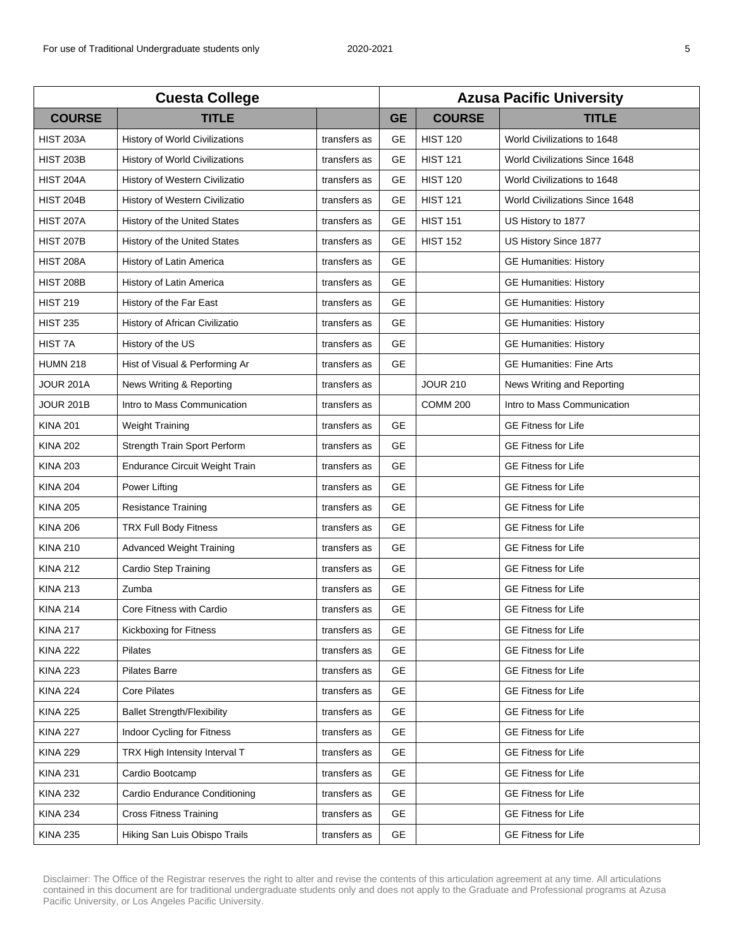| <b>Cuesta College</b> |                                       |              | <b>Azusa Pacific University</b> |                 |                                       |
|-----------------------|---------------------------------------|--------------|---------------------------------|-----------------|---------------------------------------|
| <b>COURSE</b>         | <b>TITLE</b>                          |              | <b>GE</b>                       | <b>COURSE</b>   | <b>TITLE</b>                          |
| <b>HIST 203A</b>      | <b>History of World Civilizations</b> | transfers as | GE                              | <b>HIST 120</b> | World Civilizations to 1648           |
| <b>HIST 203B</b>      | History of World Civilizations        | transfers as | <b>GE</b>                       | <b>HIST 121</b> | <b>World Civilizations Since 1648</b> |
| HIST 204A             | History of Western Civilizatio        | transfers as | <b>GE</b>                       | <b>HIST 120</b> | World Civilizations to 1648           |
| <b>HIST 204B</b>      | History of Western Civilizatio        | transfers as | <b>GE</b>                       | <b>HIST 121</b> | World Civilizations Since 1648        |
| <b>HIST 207A</b>      | History of the United States          | transfers as | <b>GE</b>                       | <b>HIST 151</b> | US History to 1877                    |
| <b>HIST 207B</b>      | History of the United States          | transfers as | <b>GE</b>                       | <b>HIST 152</b> | US History Since 1877                 |
| <b>HIST 208A</b>      | History of Latin America              | transfers as | <b>GE</b>                       |                 | <b>GE Humanities: History</b>         |
| <b>HIST 208B</b>      | History of Latin America              | transfers as | <b>GE</b>                       |                 | <b>GE Humanities: History</b>         |
| <b>HIST 219</b>       | History of the Far East               | transfers as | <b>GE</b>                       |                 | <b>GE Humanities: History</b>         |
| <b>HIST 235</b>       | History of African Civilizatio        | transfers as | <b>GE</b>                       |                 | <b>GE Humanities: History</b>         |
| HIST <sub>7</sub> A   | History of the US                     | transfers as | <b>GE</b>                       |                 | <b>GE Humanities: History</b>         |
| <b>HUMN 218</b>       | Hist of Visual & Performing Ar        | transfers as | <b>GE</b>                       |                 | <b>GE Humanities: Fine Arts</b>       |
| JOUR 201A             | News Writing & Reporting              | transfers as |                                 | <b>JOUR 210</b> | News Writing and Reporting            |
| JOUR 201B             | Intro to Mass Communication           | transfers as |                                 | <b>COMM 200</b> | Intro to Mass Communication           |
| <b>KINA 201</b>       | <b>Weight Training</b>                | transfers as | <b>GE</b>                       |                 | <b>GE Fitness for Life</b>            |
| <b>KINA 202</b>       | Strength Train Sport Perform          | transfers as | <b>GE</b>                       |                 | <b>GE Fitness for Life</b>            |
| <b>KINA 203</b>       | <b>Endurance Circuit Weight Train</b> | transfers as | <b>GE</b>                       |                 | <b>GE Fitness for Life</b>            |
| <b>KINA 204</b>       | Power Lifting                         | transfers as | <b>GE</b>                       |                 | <b>GE Fitness for Life</b>            |
| <b>KINA 205</b>       | <b>Resistance Training</b>            | transfers as | <b>GE</b>                       |                 | <b>GE Fitness for Life</b>            |
| <b>KINA 206</b>       | TRX Full Body Fitness                 | transfers as | <b>GE</b>                       |                 | <b>GE Fitness for Life</b>            |
| <b>KINA 210</b>       | <b>Advanced Weight Training</b>       | transfers as | <b>GE</b>                       |                 | <b>GE Fitness for Life</b>            |
| <b>KINA 212</b>       | Cardio Step Training                  | transfers as | <b>GE</b>                       |                 | <b>GE Fitness for Life</b>            |
| <b>KINA 213</b>       | Zumba                                 | transfers as | <b>GE</b>                       |                 | <b>GE Fitness for Life</b>            |
| <b>KINA 214</b>       | Core Fitness with Cardio              | transfers as | <b>GE</b>                       |                 | <b>GE Fitness for Life</b>            |
| <b>KINA 217</b>       | Kickboxing for Fitness                | transfers as | GE                              |                 | <b>GE Fitness for Life</b>            |
| <b>KINA 222</b>       | <b>Pilates</b>                        | transfers as | <b>GE</b>                       |                 | <b>GE Fitness for Life</b>            |
| <b>KINA 223</b>       | <b>Pilates Barre</b>                  | transfers as | <b>GE</b>                       |                 | <b>GE Fitness for Life</b>            |
| <b>KINA 224</b>       | <b>Core Pilates</b>                   | transfers as | <b>GE</b>                       |                 | <b>GE Fitness for Life</b>            |
| <b>KINA 225</b>       | <b>Ballet Strength/Flexibility</b>    | transfers as | <b>GE</b>                       |                 | <b>GE Fitness for Life</b>            |
| <b>KINA 227</b>       | Indoor Cycling for Fitness            | transfers as | <b>GE</b>                       |                 | <b>GE Fitness for Life</b>            |
| <b>KINA 229</b>       | TRX High Intensity Interval T         | transfers as | <b>GE</b>                       |                 | <b>GE Fitness for Life</b>            |
| <b>KINA 231</b>       | Cardio Bootcamp                       | transfers as | <b>GE</b>                       |                 | <b>GE Fitness for Life</b>            |
| <b>KINA 232</b>       | Cardio Endurance Conditioning         | transfers as | <b>GE</b>                       |                 | <b>GE Fitness for Life</b>            |
| <b>KINA 234</b>       | <b>Cross Fitness Training</b>         | transfers as | <b>GE</b>                       |                 | <b>GE Fitness for Life</b>            |
| <b>KINA 235</b>       | Hiking San Luis Obispo Trails         | transfers as | GE                              |                 | <b>GE Fitness for Life</b>            |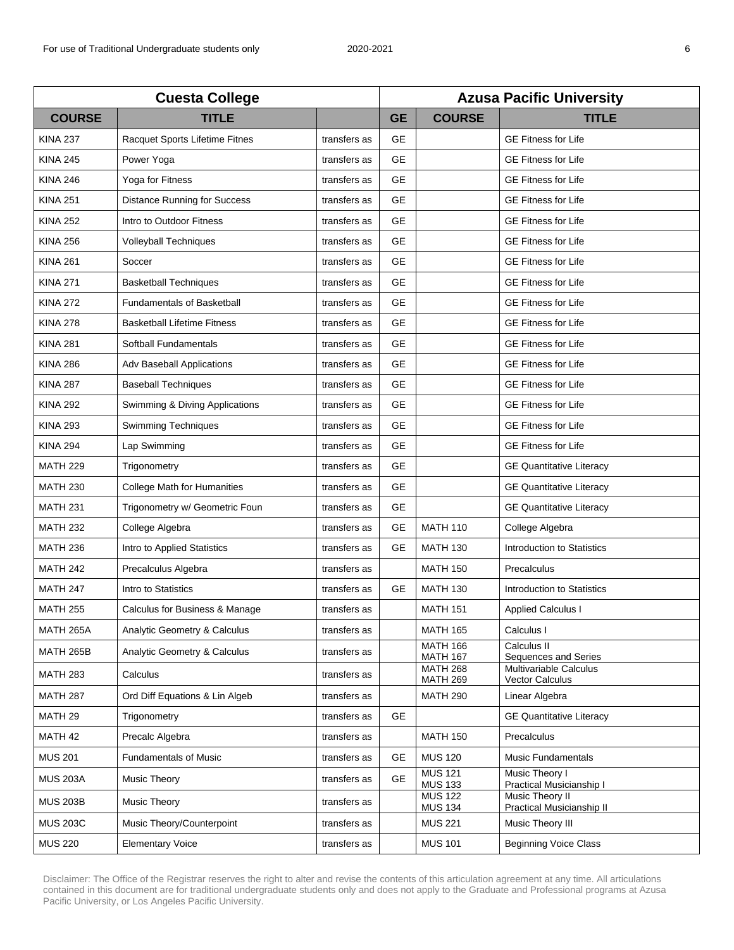| <b>Cuesta College</b> |                                     |              | <b>Azusa Pacific University</b> |                                    |                                                     |  |
|-----------------------|-------------------------------------|--------------|---------------------------------|------------------------------------|-----------------------------------------------------|--|
| <b>COURSE</b>         | <b>TITLE</b>                        |              | <b>GE</b>                       | <b>COURSE</b>                      | <b>TITLE</b>                                        |  |
| <b>KINA 237</b>       | Racquet Sports Lifetime Fitnes      | transfers as | <b>GE</b>                       |                                    | <b>GE Fitness for Life</b>                          |  |
| <b>KINA 245</b>       | Power Yoga                          | transfers as | <b>GE</b>                       |                                    | <b>GE Fitness for Life</b>                          |  |
| <b>KINA 246</b>       | Yoga for Fitness                    | transfers as | <b>GE</b>                       |                                    | <b>GE Fitness for Life</b>                          |  |
| <b>KINA 251</b>       | <b>Distance Running for Success</b> | transfers as | <b>GE</b>                       |                                    | <b>GE Fitness for Life</b>                          |  |
| <b>KINA 252</b>       | Intro to Outdoor Fitness            | transfers as | <b>GE</b>                       |                                    | <b>GE Fitness for Life</b>                          |  |
| <b>KINA 256</b>       | <b>Volleyball Techniques</b>        | transfers as | <b>GE</b>                       |                                    | <b>GE Fitness for Life</b>                          |  |
| <b>KINA 261</b>       | Soccer                              | transfers as | <b>GE</b>                       |                                    | <b>GE Fitness for Life</b>                          |  |
| <b>KINA 271</b>       | <b>Basketball Techniques</b>        | transfers as | <b>GE</b>                       |                                    | <b>GE Fitness for Life</b>                          |  |
| <b>KINA 272</b>       | <b>Fundamentals of Basketball</b>   | transfers as | <b>GE</b>                       |                                    | <b>GE Fitness for Life</b>                          |  |
| <b>KINA 278</b>       | <b>Basketball Lifetime Fitness</b>  | transfers as | <b>GE</b>                       |                                    | <b>GE Fitness for Life</b>                          |  |
| <b>KINA 281</b>       | Softball Fundamentals               | transfers as | <b>GE</b>                       |                                    | <b>GE Fitness for Life</b>                          |  |
| <b>KINA 286</b>       | Adv Baseball Applications           | transfers as | <b>GE</b>                       |                                    | <b>GE Fitness for Life</b>                          |  |
| <b>KINA 287</b>       | <b>Baseball Techniques</b>          | transfers as | <b>GE</b>                       |                                    | <b>GE Fitness for Life</b>                          |  |
| <b>KINA 292</b>       | Swimming & Diving Applications      | transfers as | <b>GE</b>                       |                                    | <b>GE Fitness for Life</b>                          |  |
| <b>KINA 293</b>       | <b>Swimming Techniques</b>          | transfers as | <b>GE</b>                       |                                    | <b>GE Fitness for Life</b>                          |  |
| <b>KINA 294</b>       | Lap Swimming                        | transfers as | <b>GE</b>                       |                                    | <b>GE Fitness for Life</b>                          |  |
| <b>MATH 229</b>       | Trigonometry                        | transfers as | <b>GE</b>                       |                                    | <b>GE Quantitative Literacy</b>                     |  |
| <b>MATH 230</b>       | College Math for Humanities         | transfers as | <b>GE</b>                       |                                    | <b>GE Quantitative Literacy</b>                     |  |
| <b>MATH 231</b>       | Trigonometry w/ Geometric Foun      | transfers as | <b>GE</b>                       |                                    | <b>GE Quantitative Literacy</b>                     |  |
| <b>MATH 232</b>       | College Algebra                     | transfers as | <b>GE</b>                       | <b>MATH 110</b>                    | College Algebra                                     |  |
| <b>MATH 236</b>       | Intro to Applied Statistics         | transfers as | <b>GE</b>                       | <b>MATH 130</b>                    | Introduction to Statistics                          |  |
| <b>MATH 242</b>       | Precalculus Algebra                 | transfers as |                                 | <b>MATH 150</b>                    | Precalculus                                         |  |
| <b>MATH 247</b>       | Intro to Statistics                 | transfers as | <b>GE</b>                       | <b>MATH 130</b>                    | Introduction to Statistics                          |  |
| <b>MATH 255</b>       | Calculus for Business & Manage      | transfers as |                                 | <b>MATH 151</b>                    | <b>Applied Calculus I</b>                           |  |
| MATH 265A             | Analytic Geometry & Calculus        | transfers as |                                 | <b>MATH 165</b>                    | Calculus I                                          |  |
| <b>MATH 265B</b>      | Analytic Geometry & Calculus        | transfers as |                                 | <b>MATH 166</b><br><b>MATH 167</b> | Calculus II<br>Sequences and Series                 |  |
| <b>MATH 283</b>       | Calculus                            | transfers as |                                 | <b>MATH 268</b><br><b>MATH 269</b> | Multivariable Calculus<br>Vector Calculus           |  |
| <b>MATH 287</b>       | Ord Diff Equations & Lin Algeb      | transfers as |                                 | <b>MATH 290</b>                    | Linear Algebra                                      |  |
| MATH <sub>29</sub>    | Trigonometry                        | transfers as | GE                              |                                    | <b>GE Quantitative Literacy</b>                     |  |
| MATH 42               | Precalc Algebra                     | transfers as |                                 | <b>MATH 150</b>                    | Precalculus                                         |  |
| <b>MUS 201</b>        | <b>Fundamentals of Music</b>        | transfers as | <b>GE</b>                       | <b>MUS 120</b>                     | <b>Music Fundamentals</b>                           |  |
| <b>MUS 203A</b>       | <b>Music Theory</b>                 | transfers as | <b>GE</b>                       | <b>MUS 121</b><br><b>MUS 133</b>   | <b>Music Theory I</b><br>Practical Musicianship I   |  |
| <b>MUS 203B</b>       | <b>Music Theory</b>                 | transfers as |                                 | <b>MUS 122</b><br><b>MUS 134</b>   | <b>Music Theory II</b><br>Practical Musicianship II |  |
| <b>MUS 203C</b>       | Music Theory/Counterpoint           | transfers as |                                 | <b>MUS 221</b>                     | Music Theory III                                    |  |
| <b>MUS 220</b>        | <b>Elementary Voice</b>             | transfers as |                                 | <b>MUS 101</b>                     | <b>Beginning Voice Class</b>                        |  |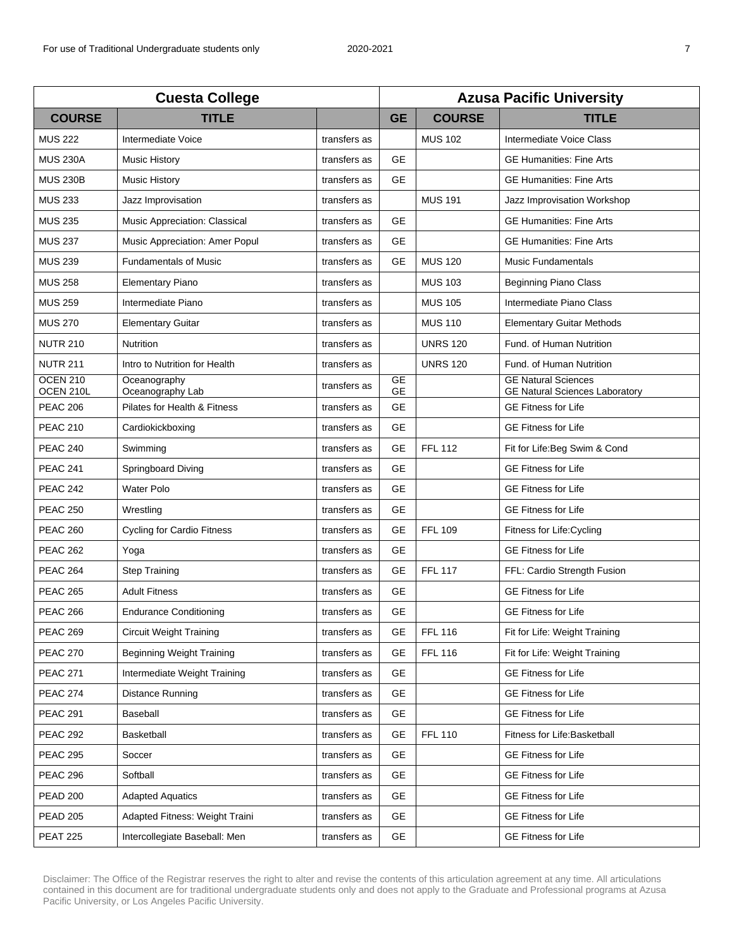| <b>Cuesta College</b>        |                                   | <b>Azusa Pacific University</b> |                        |                 |                                                                     |
|------------------------------|-----------------------------------|---------------------------------|------------------------|-----------------|---------------------------------------------------------------------|
| <b>COURSE</b>                | <b>TITLE</b>                      |                                 | <b>GE</b>              | <b>COURSE</b>   | <b>TITLE</b>                                                        |
| <b>MUS 222</b>               | Intermediate Voice                | transfers as                    |                        | <b>MUS 102</b>  | Intermediate Voice Class                                            |
| <b>MUS 230A</b>              | <b>Music History</b>              | transfers as                    | <b>GE</b>              |                 | <b>GE Humanities: Fine Arts</b>                                     |
| <b>MUS 230B</b>              | <b>Music History</b>              | transfers as                    | <b>GE</b>              |                 | <b>GE Humanities: Fine Arts</b>                                     |
| <b>MUS 233</b>               | Jazz Improvisation                | transfers as                    |                        | <b>MUS 191</b>  | Jazz Improvisation Workshop                                         |
| <b>MUS 235</b>               | Music Appreciation: Classical     | transfers as                    | <b>GE</b>              |                 | <b>GE Humanities: Fine Arts</b>                                     |
| <b>MUS 237</b>               | Music Appreciation: Amer Popul    | transfers as                    | <b>GE</b>              |                 | <b>GE Humanities: Fine Arts</b>                                     |
| <b>MUS 239</b>               | <b>Fundamentals of Music</b>      | transfers as                    | <b>GE</b>              | <b>MUS 120</b>  | Music Fundamentals                                                  |
| <b>MUS 258</b>               | <b>Elementary Piano</b>           | transfers as                    |                        | <b>MUS 103</b>  | <b>Beginning Piano Class</b>                                        |
| <b>MUS 259</b>               | Intermediate Piano                | transfers as                    |                        | <b>MUS 105</b>  | Intermediate Piano Class                                            |
| <b>MUS 270</b>               | <b>Elementary Guitar</b>          | transfers as                    |                        | <b>MUS 110</b>  | <b>Elementary Guitar Methods</b>                                    |
| <b>NUTR 210</b>              | <b>Nutrition</b>                  | transfers as                    |                        | <b>UNRS 120</b> | Fund. of Human Nutrition                                            |
| <b>NUTR 211</b>              | Intro to Nutrition for Health     | transfers as                    |                        | <b>UNRS 120</b> | Fund. of Human Nutrition                                            |
| <b>OCEN 210</b><br>OCEN 210L | Oceanography<br>Oceanography Lab  | transfers as                    | <b>GE</b><br><b>GE</b> |                 | <b>GE Natural Sciences</b><br><b>GE Natural Sciences Laboratory</b> |
| <b>PEAC 206</b>              | Pilates for Health & Fitness      | transfers as                    | <b>GE</b>              |                 | <b>GE Fitness for Life</b>                                          |
| <b>PEAC 210</b>              | Cardiokickboxing                  | transfers as                    | <b>GE</b>              |                 | <b>GE Fitness for Life</b>                                          |
| <b>PEAC 240</b>              | Swimming                          | transfers as                    | <b>GE</b>              | <b>FFL 112</b>  | Fit for Life: Beg Swim & Cond                                       |
| <b>PEAC 241</b>              | Springboard Diving                | transfers as                    | <b>GE</b>              |                 | <b>GE Fitness for Life</b>                                          |
| <b>PEAC 242</b>              | Water Polo                        | transfers as                    | <b>GE</b>              |                 | <b>GE Fitness for Life</b>                                          |
| <b>PEAC 250</b>              | Wrestling                         | transfers as                    | <b>GE</b>              |                 | <b>GE Fitness for Life</b>                                          |
| <b>PEAC 260</b>              | <b>Cycling for Cardio Fitness</b> | transfers as                    | <b>GE</b>              | <b>FFL 109</b>  | Fitness for Life: Cycling                                           |
| <b>PEAC 262</b>              | Yoga                              | transfers as                    | <b>GE</b>              |                 | <b>GE Fitness for Life</b>                                          |
| <b>PEAC 264</b>              | <b>Step Training</b>              | transfers as                    | <b>GE</b>              | <b>FFL 117</b>  | FFL: Cardio Strength Fusion                                         |
| <b>PEAC 265</b>              | <b>Adult Fitness</b>              | transfers as                    | <b>GE</b>              |                 | <b>GE Fitness for Life</b>                                          |
| <b>PEAC 266</b>              | <b>Endurance Conditioning</b>     | transfers as                    | <b>GE</b>              |                 | <b>GE Fitness for Life</b>                                          |
| <b>PEAC 269</b>              | <b>Circuit Weight Training</b>    | transfers as                    | GE                     | <b>FFL 116</b>  | Fit for Life: Weight Training                                       |
| <b>PEAC 270</b>              | <b>Beginning Weight Training</b>  | transfers as                    | <b>GE</b>              | <b>FFL 116</b>  | Fit for Life: Weight Training                                       |
| <b>PEAC 271</b>              | Intermediate Weight Training      | transfers as                    | GЕ                     |                 | <b>GE Fitness for Life</b>                                          |
| <b>PEAC 274</b>              | Distance Running                  | transfers as                    | GЕ                     |                 | <b>GE Fitness for Life</b>                                          |
| <b>PEAC 291</b>              | Baseball                          | transfers as                    | GЕ                     |                 | <b>GE Fitness for Life</b>                                          |
| <b>PEAC 292</b>              | Basketball                        | transfers as                    | GE                     | <b>FFL 110</b>  | Fitness for Life:Basketball                                         |
| <b>PEAC 295</b>              | Soccer                            | transfers as                    | <b>GE</b>              |                 | <b>GE Fitness for Life</b>                                          |
| <b>PEAC 296</b>              | Softball                          | transfers as                    | <b>GE</b>              |                 | <b>GE Fitness for Life</b>                                          |
| <b>PEAD 200</b>              | <b>Adapted Aquatics</b>           | transfers as                    | <b>GE</b>              |                 | <b>GE Fitness for Life</b>                                          |
| <b>PEAD 205</b>              | Adapted Fitness: Weight Traini    | transfers as                    | GE                     |                 | <b>GE Fitness for Life</b>                                          |
| <b>PEAT 225</b>              | Intercollegiate Baseball: Men     | transfers as                    | GE                     |                 | <b>GE Fitness for Life</b>                                          |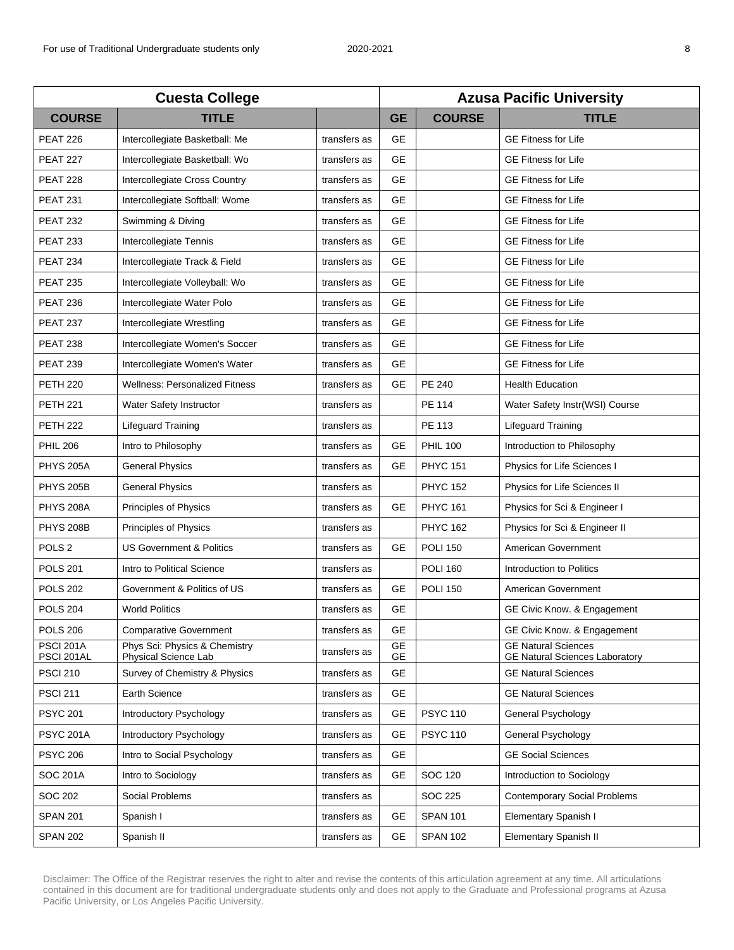| <b>Cuesta College</b>          |                                                       |              | <b>Azusa Pacific University</b> |                 |                                                                     |  |
|--------------------------------|-------------------------------------------------------|--------------|---------------------------------|-----------------|---------------------------------------------------------------------|--|
| <b>COURSE</b>                  | <b>TITLE</b>                                          |              | <b>GE</b>                       | <b>COURSE</b>   | <b>TITLE</b>                                                        |  |
| <b>PEAT 226</b>                | Intercollegiate Basketball: Me                        | transfers as | <b>GE</b>                       |                 | <b>GE Fitness for Life</b>                                          |  |
| <b>PEAT 227</b>                | Intercollegiate Basketball: Wo                        | transfers as | <b>GE</b>                       |                 | <b>GE Fitness for Life</b>                                          |  |
| PEAT 228                       | Intercollegiate Cross Country                         | transfers as | <b>GE</b>                       |                 | <b>GE Fitness for Life</b>                                          |  |
| <b>PEAT 231</b>                | Intercollegiate Softball: Wome                        | transfers as | <b>GE</b>                       |                 | <b>GE Fitness for Life</b>                                          |  |
| <b>PEAT 232</b>                | Swimming & Diving                                     | transfers as | GE                              |                 | <b>GE Fitness for Life</b>                                          |  |
| <b>PEAT 233</b>                | Intercollegiate Tennis                                | transfers as | <b>GE</b>                       |                 | <b>GE Fitness for Life</b>                                          |  |
| <b>PEAT 234</b>                | Intercollegiate Track & Field                         | transfers as | <b>GE</b>                       |                 | <b>GE Fitness for Life</b>                                          |  |
| <b>PEAT 235</b>                | Intercollegiate Volleyball: Wo                        | transfers as | <b>GE</b>                       |                 | <b>GE Fitness for Life</b>                                          |  |
| <b>PEAT 236</b>                | Intercollegiate Water Polo                            | transfers as | <b>GE</b>                       |                 | <b>GE Fitness for Life</b>                                          |  |
| <b>PEAT 237</b>                | Intercollegiate Wrestling                             | transfers as | <b>GE</b>                       |                 | <b>GE Fitness for Life</b>                                          |  |
| <b>PEAT 238</b>                | Intercollegiate Women's Soccer                        | transfers as | <b>GE</b>                       |                 | <b>GE Fitness for Life</b>                                          |  |
| <b>PEAT 239</b>                | Intercollegiate Women's Water                         | transfers as | <b>GE</b>                       |                 | <b>GE Fitness for Life</b>                                          |  |
| <b>PETH 220</b>                | <b>Wellness: Personalized Fitness</b>                 | transfers as | <b>GE</b>                       | <b>PE 240</b>   | <b>Health Education</b>                                             |  |
| <b>PETH 221</b>                | Water Safety Instructor                               | transfers as |                                 | <b>PE 114</b>   | Water Safety Instr(WSI) Course                                      |  |
| <b>PETH 222</b>                | <b>Lifeguard Training</b>                             | transfers as |                                 | PE 113          | Lifeguard Training                                                  |  |
| <b>PHIL 206</b>                | Intro to Philosophy                                   | transfers as | <b>GE</b>                       | <b>PHIL 100</b> | Introduction to Philosophy                                          |  |
| <b>PHYS 205A</b>               | <b>General Physics</b>                                | transfers as | <b>GE</b>                       | <b>PHYC 151</b> | Physics for Life Sciences I                                         |  |
| <b>PHYS 205B</b>               | <b>General Physics</b>                                | transfers as |                                 | <b>PHYC 152</b> | Physics for Life Sciences II                                        |  |
| <b>PHYS 208A</b>               | Principles of Physics                                 | transfers as | GE                              | <b>PHYC 161</b> | Physics for Sci & Engineer I                                        |  |
| <b>PHYS 208B</b>               | <b>Principles of Physics</b>                          | transfers as |                                 | <b>PHYC 162</b> | Physics for Sci & Engineer II                                       |  |
| POLS <sub>2</sub>              | <b>US Government &amp; Politics</b>                   | transfers as | <b>GE</b>                       | <b>POLI 150</b> | American Government                                                 |  |
| <b>POLS 201</b>                | Intro to Political Science                            | transfers as |                                 | <b>POLI 160</b> | Introduction to Politics                                            |  |
| <b>POLS 202</b>                | Government & Politics of US                           | transfers as | <b>GE</b>                       | <b>POLI 150</b> | American Government                                                 |  |
| <b>POLS 204</b>                | <b>World Politics</b>                                 | transfers as | <b>GE</b>                       |                 | GE Civic Know. & Engagement                                         |  |
| <b>POLS 206</b>                | <b>Comparative Government</b>                         | transfers as | GE                              |                 | GE Civic Know. & Engagement                                         |  |
| <b>PSCI 201A</b><br>PSCI 201AL | Phys Sci: Physics & Chemistry<br>Physical Science Lab | transfers as | <b>GE</b><br><b>GE</b>          |                 | <b>GE Natural Sciences</b><br><b>GE Natural Sciences Laboratory</b> |  |
| <b>PSCI 210</b>                | Survey of Chemistry & Physics                         | transfers as | <b>GE</b>                       |                 | <b>GE Natural Sciences</b>                                          |  |
| <b>PSCI 211</b>                | Earth Science                                         | transfers as | GЕ                              |                 | <b>GE Natural Sciences</b>                                          |  |
| <b>PSYC 201</b>                | <b>Introductory Psychology</b>                        | transfers as | <b>GE</b>                       | <b>PSYC 110</b> | General Psychology                                                  |  |
| <b>PSYC 201A</b>               | <b>Introductory Psychology</b>                        | transfers as | GE                              | <b>PSYC 110</b> | General Psychology                                                  |  |
| <b>PSYC 206</b>                | Intro to Social Psychology                            | transfers as | <b>GE</b>                       |                 | <b>GE Social Sciences</b>                                           |  |
| <b>SOC 201A</b>                | Intro to Sociology                                    | transfers as | <b>GE</b>                       | <b>SOC 120</b>  | Introduction to Sociology                                           |  |
| <b>SOC 202</b>                 | Social Problems                                       | transfers as |                                 | SOC 225         | <b>Contemporary Social Problems</b>                                 |  |
| <b>SPAN 201</b>                | Spanish I                                             | transfers as | GЕ                              | <b>SPAN 101</b> | Elementary Spanish I                                                |  |
| <b>SPAN 202</b>                | Spanish II                                            | transfers as | <b>GE</b>                       | <b>SPAN 102</b> | Elementary Spanish II                                               |  |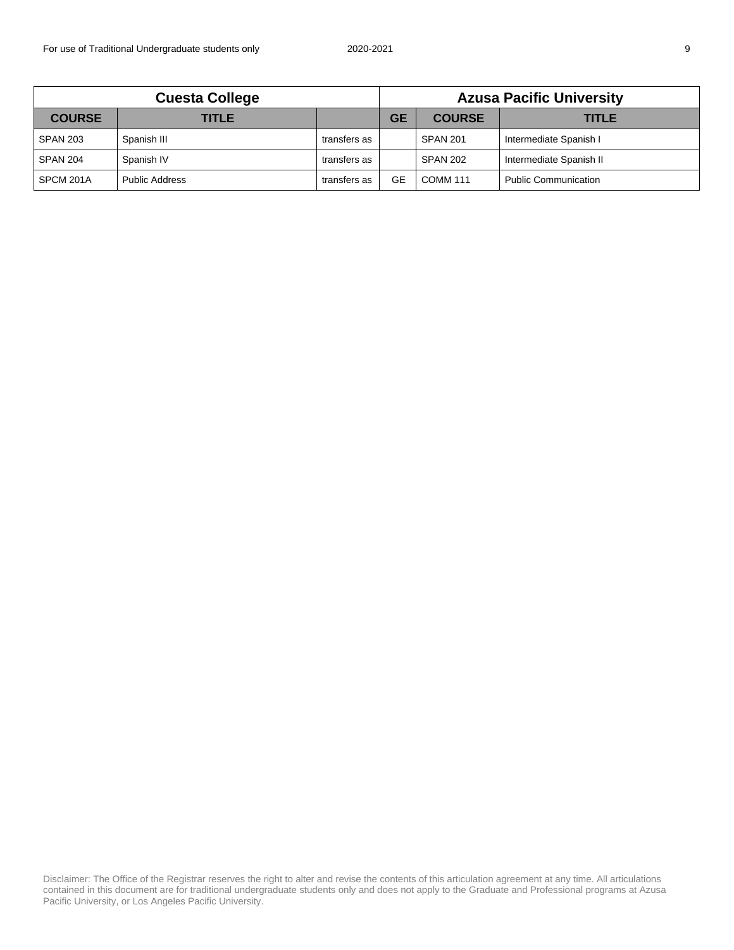| <b>Cuesta College</b> |                       |              | <b>Azusa Pacific University</b> |                 |                             |
|-----------------------|-----------------------|--------------|---------------------------------|-----------------|-----------------------------|
| <b>COURSE</b>         | TITLE                 |              | <b>GE</b>                       | <b>COURSE</b>   | TITLE                       |
| <b>SPAN 203</b>       | Spanish III           | transfers as |                                 | <b>SPAN 201</b> | Intermediate Spanish I      |
| <b>SPAN 204</b>       | Spanish IV            | transfers as |                                 | <b>SPAN 202</b> | Intermediate Spanish II     |
| SPCM 201A             | <b>Public Address</b> | transfers as | GE                              | <b>COMM 111</b> | <b>Public Communication</b> |